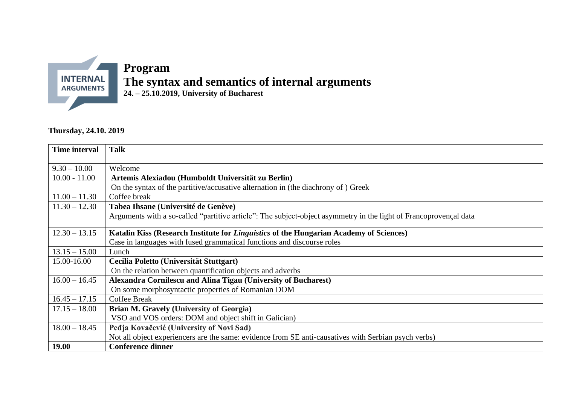

## **Program The syntax and semantics of internal arguments 24. – 25.10.2019, University of Bucharest**

## **Thursday, 24.10. 2019**

| Time interval   | <b>Talk</b>                                                                                                       |
|-----------------|-------------------------------------------------------------------------------------------------------------------|
| $9.30 - 10.00$  | Welcome                                                                                                           |
| $10.00 - 11.00$ | Artemis Alexiadou (Humboldt Universität zu Berlin)                                                                |
|                 | On the syntax of the partitive/accusative alternation in (the diachrony of) Greek                                 |
| $11.00 - 11.30$ | Coffee break                                                                                                      |
| $11.30 - 12.30$ | Tabea Ihsane (Université de Genève)                                                                               |
|                 | Arguments with a so-called "partitive article": The subject-object asymmetry in the light of Francoprovençal data |
| $12.30 - 13.15$ | Katalin Kiss (Research Institute for <i>Linguistics</i> of the Hungarian Academy of Sciences)                     |
|                 | Case in languages with fused grammatical functions and discourse roles                                            |
| $13.15 - 15.00$ | Lunch                                                                                                             |
| 15.00-16.00     | Cecilia Poletto (Universität Stuttgart)                                                                           |
|                 | On the relation between quantification objects and adverbs                                                        |
| $16.00 - 16.45$ | Alexandra Cornilescu and Alina Tigau (University of Bucharest)                                                    |
|                 | On some morphosyntactic properties of Romanian DOM                                                                |
| $16.45 - 17.15$ | <b>Coffee Break</b>                                                                                               |
| $17.15 - 18.00$ | <b>Brian M. Gravely (University of Georgia)</b>                                                                   |
|                 | VSO and VOS orders: DOM and object shift in Galician)                                                             |
| $18.00 - 18.45$ | Pedja Kovačević (University of Novi Sad)                                                                          |
|                 | Not all object experiencers are the same: evidence from SE anti-causatives with Serbian psych verbs)              |
| <b>19.00</b>    | <b>Conference dinner</b>                                                                                          |